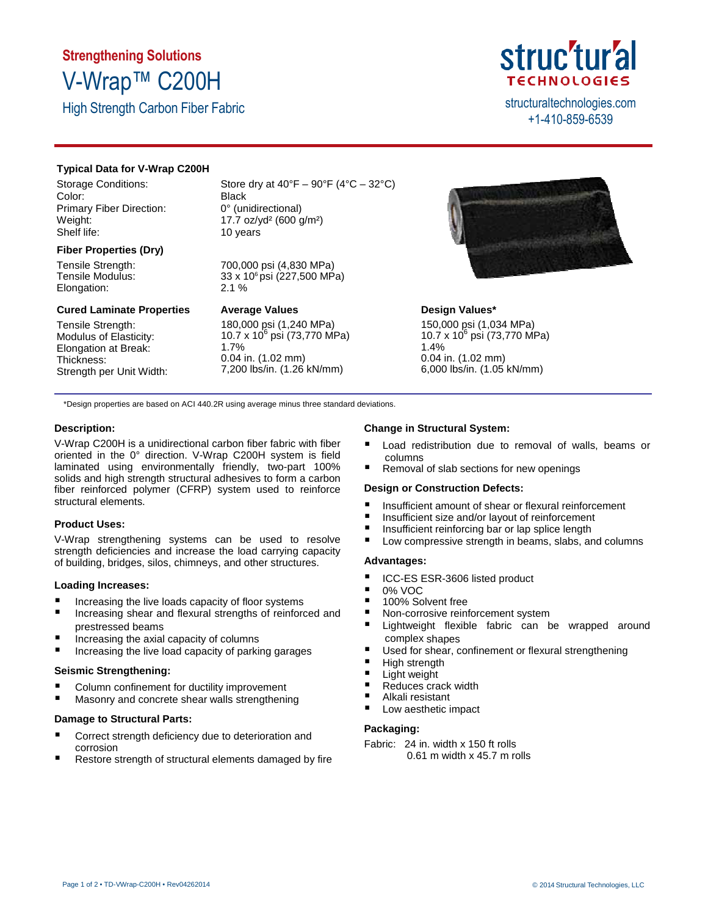## **Strengthening Solutions** V-Wrap™ C200H

High Strength Carbon Fiber Fabric structural technologies.com

## struc'tur'al **TECHNOLOGIES**

+1-410-859-6539

#### **Typical Data for V-Wrap C200H**

Storage Conditions: Color: Primary Fiber Direction: Weight: Shelf life:

#### **Fiber Properties (Dry)**

Tensile Strength: Tensile Modulus: Elongation:

#### **Cured Laminate Properties**

Tensile Strength: Modulus of Elasticity: Elongation at Break: Thickness: Strength per Unit Width: Store dry at  $40^{\circ}F - 90^{\circ}F (4^{\circ}C - 32^{\circ}C)$ Black 0° (unidirectional) 17.7 oz/yd² (600 g/m²) 10 years

700,000 psi (4,830 MPa) 33 x 106 psi (227,500 MPa) 2.1 %

#### **Average Values**

180,000 psi (1,240 MPa)<br>10.7 x 10<sup>6</sup> psi (73,770 MPa) 1.7% 0.04 in. (1.02 mm) 7,200 lbs/in. (1.26 kN/mm)



#### **Design Values\***

150,000 psi (1,034 MPa) 10.7 x 10<sup>6</sup> psi (73,770 MPa) 1.4% 0.04 in. (1.02 mm) 6,000 lbs/in. (1.05 kN/mm)

\*Design properties are based on ACI 440.2R using average minus three standard deviations.

#### **Description:**

V-Wrap C200H is a unidirectional carbon fiber fabric with fiber oriented in the 0° direction. V-Wrap C200H system is field laminated using environmentally friendly, two-part 100% solids and high strength structural adhesives to form a carbon fiber reinforced polymer (CFRP) system used to reinforce structural elements.

#### **Product Uses:**

V-Wrap strengthening systems can be used to resolve strength deficiencies and increase the load carrying capacity of building, bridges, silos, chimneys, and other structures.

#### **Loading Increases:**

- Increasing the live loads capacity of floor systems
- **Increasing shear and flexural strengths of reinforced and** prestressed beams
- Increasing the axial capacity of columns
- $\blacksquare$  Increasing the live load capacity of parking garages

#### **Seismic Strengthening:**

- Column confinement for ductility improvement
- **Masonry and concrete shear walls strengthening**

#### **Damage to Structural Parts:**

- **Correct strength deficiency due to deterioration and** corrosion
- Restore strength of structural elements damaged by fire

#### **Change in Structural System:**

- Load redistribution due to removal of walls, beams or columns
- Removal of slab sections for new openings

#### **Design or Construction Defects:**

- Insufficient amount of shear or flexural reinforcement
- Insufficient size and/or layout of reinforcement
- $\blacksquare$  Insufficient reinforcing bar or lap splice length
- Low compressive strength in beams, slabs, and columns

#### **Advantages:**

- ICC-ES ESR-3606 listed product
- 0% VOC
- 100% Solvent free
- Non-corrosive reinforcement system
- Lightweight flexible fabric can be wrapped around complex shapes
- Used for shear, confinement or flexural strengthening
- High strength
- Light weight
- Reduces crack width
- Alkali resistant
- **Low aesthetic impact**

#### **Packaging:**

Fabric: 24 in. width x 150 ft rolls 0.61 m width x 45.7 m rolls